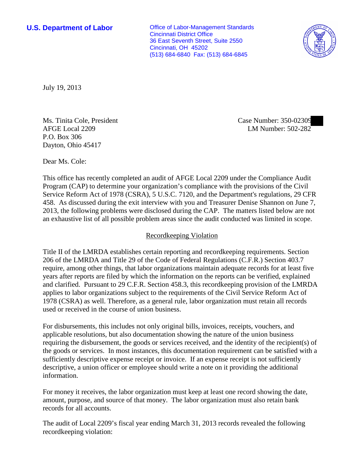**U.S. Department of Labor Office of Labor-Management Standards** Cincinnati District Office 36 East Seventh Street, Suite 2550 Cincinnati, OH 45202 (513) 684-6840 Fax: (513) 684-6845



July 19, 2013

Ms. Tinita Cole, President AFGE Local 2209 P.O. Box 306 Dayton, Ohio 45417

Case Number: 350-02309 LM Number: 502-282

Dear Ms. Cole:

This office has recently completed an audit of AFGE Local 2209 under the Compliance Audit Program (CAP) to determine your organization's compliance with the provisions of the Civil Service Reform Act of 1978 (CSRA), 5 U.S.C. 7120, and the Department's regulations, 29 CFR 458. As discussed during the exit interview with you and Treasurer Denise Shannon on June 7, 2013, the following problems were disclosed during the CAP. The matters listed below are not an exhaustive list of all possible problem areas since the audit conducted was limited in scope.

## Recordkeeping Violation

Title II of the LMRDA establishes certain reporting and recordkeeping requirements. Section 206 of the LMRDA and Title 29 of the Code of Federal Regulations (C.F.R.) Section 403.7 require, among other things, that labor organizations maintain adequate records for at least five years after reports are filed by which the information on the reports can be verified, explained and clarified. Pursuant to 29 C.F.R. Section 458.3, this recordkeeping provision of the LMRDA applies to labor organizations subject to the requirements of the Civil Service Reform Act of 1978 (CSRA) as well. Therefore, as a general rule, labor organization must retain all records used or received in the course of union business.

For disbursements, this includes not only original bills, invoices, receipts, vouchers, and applicable resolutions, but also documentation showing the nature of the union business requiring the disbursement, the goods or services received, and the identity of the recipient(s) of the goods or services. In most instances, this documentation requirement can be satisfied with a sufficiently descriptive expense receipt or invoice. If an expense receipt is not sufficiently descriptive, a union officer or employee should write a note on it providing the additional information.

For money it receives, the labor organization must keep at least one record showing the date, amount, purpose, and source of that money. The labor organization must also retain bank records for all accounts.

The audit of Local 2209's fiscal year ending March 31, 2013 records revealed the following recordkeeping violation: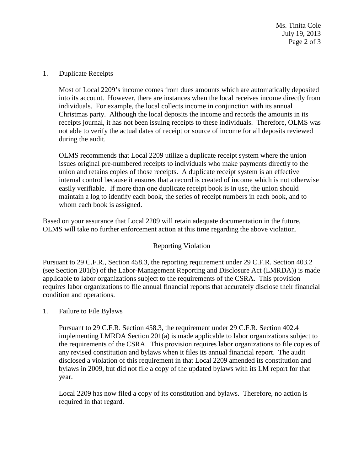Ms. Tinita Cole July 19, 2013 Page 2 of 3

1. Duplicate Receipts

Most of Local 2209's income comes from dues amounts which are automatically deposited into its account. However, there are instances when the local receives income directly from individuals. For example, the local collects income in conjunction with its annual Christmas party. Although the local deposits the income and records the amounts in its receipts journal, it has not been issuing receipts to these individuals. Therefore, OLMS was not able to verify the actual dates of receipt or source of income for all deposits reviewed during the audit.

OLMS recommends that Local 2209 utilize a duplicate receipt system where the union issues original pre-numbered receipts to individuals who make payments directly to the union and retains copies of those receipts. A duplicate receipt system is an effective internal control because it ensures that a record is created of income which is not otherwise easily verifiable. If more than one duplicate receipt book is in use, the union should maintain a log to identify each book, the series of receipt numbers in each book, and to whom each book is assigned.

Based on your assurance that Local 2209 will retain adequate documentation in the future, OLMS will take no further enforcement action at this time regarding the above violation.

## Reporting Violation

Pursuant to 29 C.F.R., Section 458.3, the reporting requirement under 29 C.F.R. Section 403.2 (see Section 201(b) of the Labor-Management Reporting and Disclosure Act (LMRDA)) is made applicable to labor organizations subject to the requirements of the CSRA. This provision requires labor organizations to file annual financial reports that accurately disclose their financial condition and operations.

1. Failure to File Bylaws

Pursuant to 29 C.F.R. Section 458.3, the requirement under 29 C.F.R. Section 402.4 implementing LMRDA Section 201(a) is made applicable to labor organizations subject to the requirements of the CSRA. This provision requires labor organizations to file copies of any revised constitution and bylaws when it files its annual financial report. The audit disclosed a violation of this requirement in that Local 2209 amended its constitution and bylaws in 2009, but did not file a copy of the updated bylaws with its LM report for that year.

Local 2209 has now filed a copy of its constitution and bylaws. Therefore, no action is required in that regard.